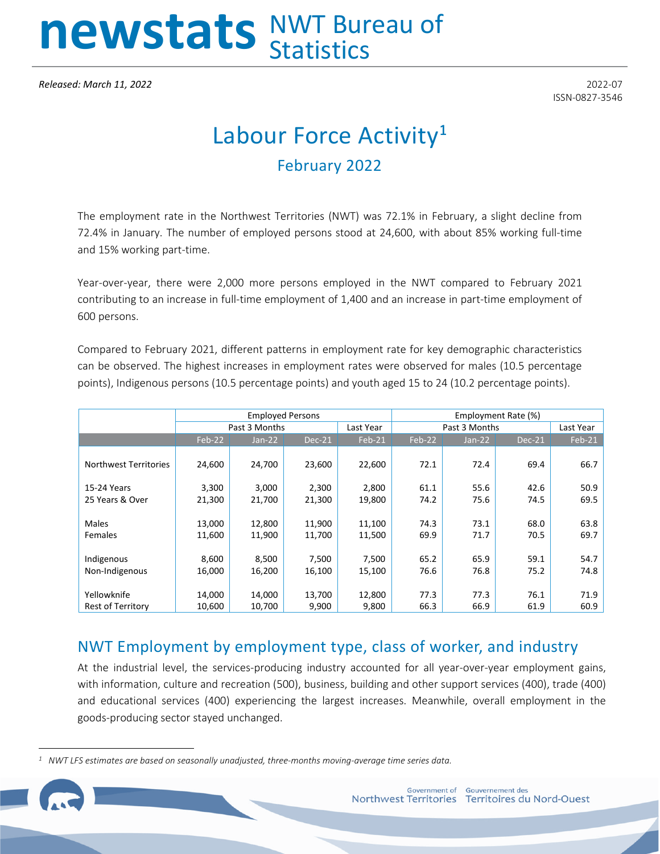# newstats NWT Bureau of

*Released: March 11, 2022* 2022-07

ISSN-0827-3546

## Labour Force Activity**[1](#page-0-0)** February 2022

The employment rate in the Northwest Territories (NWT) was 72.1% in February, a slight decline from 72.4% in January. The number of employed persons stood at 24,600, with about 85% working full-time and 15% working part-time.

Year-over-year, there were 2,000 more persons employed in the NWT compared to February 2021 contributing to an increase in full-time employment of 1,400 and an increase in part-time employment of 600 persons.

Compared to February 2021, different patterns in employment rate for key demographic characteristics can be observed. The highest increases in employment rates were observed for males (10.5 percentage points), Indigenous persons (10.5 percentage points) and youth aged 15 to 24 (10.2 percentage points).

|                              |        | <b>Employed Persons</b> |        |           | Employment Rate (%) |          |        |           |
|------------------------------|--------|-------------------------|--------|-----------|---------------------|----------|--------|-----------|
|                              |        | Past 3 Months           |        | Last Year | Past 3 Months       |          |        | Last Year |
|                              | Feb-22 | $Jan-22$                | Dec-21 | Feb-21    | Feb-22              | $Jan-22$ | Dec-21 | Feb-21    |
| <b>Northwest Territories</b> | 24,600 | 24,700                  | 23,600 | 22,600    | 72.1                | 72.4     | 69.4   | 66.7      |
| 15-24 Years                  | 3,300  | 3,000                   | 2,300  | 2,800     | 61.1                | 55.6     | 42.6   | 50.9      |
| 25 Years & Over              | 21,300 | 21,700                  | 21,300 | 19,800    | 74.2                | 75.6     | 74.5   | 69.5      |
|                              |        |                         |        |           |                     |          |        |           |
| Males                        | 13,000 | 12,800                  | 11,900 | 11,100    | 74.3                | 73.1     | 68.0   | 63.8      |
| Females                      | 11,600 | 11,900                  | 11,700 | 11,500    | 69.9                | 71.7     | 70.5   | 69.7      |
|                              |        |                         |        |           |                     |          |        |           |
| Indigenous                   | 8,600  | 8,500                   | 7,500  | 7,500     | 65.2                | 65.9     | 59.1   | 54.7      |
| Non-Indigenous               | 16,000 | 16,200                  | 16,100 | 15,100    | 76.6                | 76.8     | 75.2   | 74.8      |
|                              |        |                         |        |           |                     |          |        |           |
| Yellowknife                  | 14,000 | 14,000                  | 13,700 | 12,800    | 77.3                | 77.3     | 76.1   | 71.9      |
| Rest of Territory            | 10,600 | 10,700                  | 9,900  | 9,800     | 66.3                | 66.9     | 61.9   | 60.9      |

### NWT Employment by employment type, class of worker, and industry

At the industrial level, the services-producing industry accounted for all year-over-year employment gains, with information, culture and recreation (500), business, building and other support services (400), trade (400) and educational services (400) experiencing the largest increases. Meanwhile, overall employment in the goods-producing sector stayed unchanged.

<span id="page-0-0"></span>*<sup>1</sup> NWT LFS estimates are based on seasonally unadjusted, three-months moving-average time series data.*